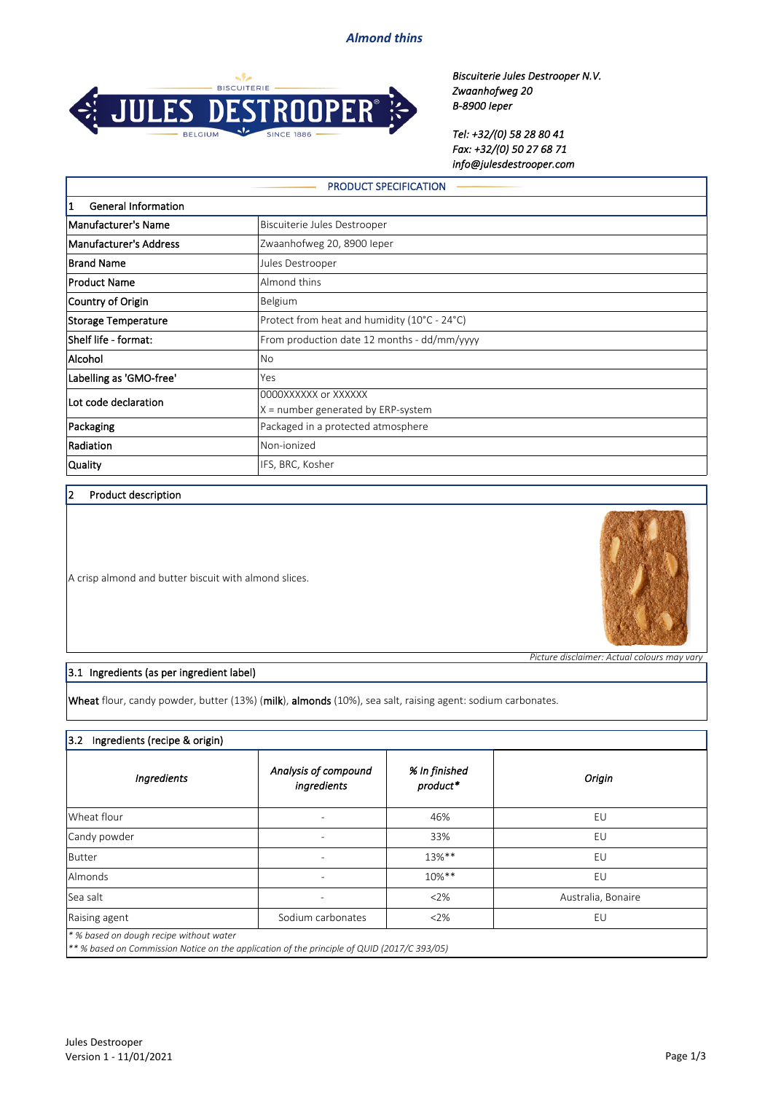*Almond thins*



*Biscuiterie Jules Destrooper N.V. Zwaanhofweg 20 B-8900 Ieper*

*Tel: +32/(0) 58 28 80 41 Fax: +32/(0) 50 27 68 71 info@julesdestrooper.com*

| <b>PRODUCT SPECIFICATION</b>    |                                                            |  |
|---------------------------------|------------------------------------------------------------|--|
| 1<br><b>General Information</b> |                                                            |  |
| Manufacturer's Name             | Biscuiterie Jules Destrooper                               |  |
| Manufacturer's Address          | Zwaanhofweg 20, 8900 leper                                 |  |
| <b>Brand Name</b>               | Jules Destrooper                                           |  |
| Product Name                    | Almond thins                                               |  |
| Country of Origin               | Belgium                                                    |  |
| Storage Temperature             | Protect from heat and humidity (10°C - 24°C)               |  |
| Shelf life - format:            | From production date 12 months - dd/mm/yyyy                |  |
| Alcohol                         | No                                                         |  |
| Labelling as 'GMO-free'         | Yes                                                        |  |
| Lot code declaration            | 0000XXXXXX or XXXXXX<br>X = number generated by ERP-system |  |
| Packaging                       | Packaged in a protected atmosphere                         |  |
| Radiation                       | Non-ionized                                                |  |
| Quality                         | IFS, BRC, Kosher                                           |  |

### 2 Product description

A crisp almond and butter biscuit with almond slices.



*Picture disclaimer: Actual colours may vary*

### 3.1 Ingredients (as per ingredient label)

Wheat flour, candy powder, butter (13%) (milk), almonds (10%), sea salt, raising agent: sodium carbonates.

### 3.2 Ingredients (recipe & origin)

| Ingredients                                                                                                                            | Analysis of compound<br>ingredients | % In finished<br>product* | Origin             |
|----------------------------------------------------------------------------------------------------------------------------------------|-------------------------------------|---------------------------|--------------------|
| Wheat flour                                                                                                                            |                                     | 46%                       | EU                 |
| Candy powder                                                                                                                           |                                     | 33%                       | EU                 |
| Butter                                                                                                                                 |                                     | 13%**                     | EU                 |
| <b>Almonds</b>                                                                                                                         |                                     | $10\%**$                  | EU                 |
| Sea salt                                                                                                                               |                                     | 2%                        | Australia, Bonaire |
| Raising agent                                                                                                                          | Sodium carbonates                   | $2\%$                     | EU                 |
| * % based on dough recipe without water<br>** % based on Commission Notice on the application of the principle of QUID (2017/C 393/05) |                                     |                           |                    |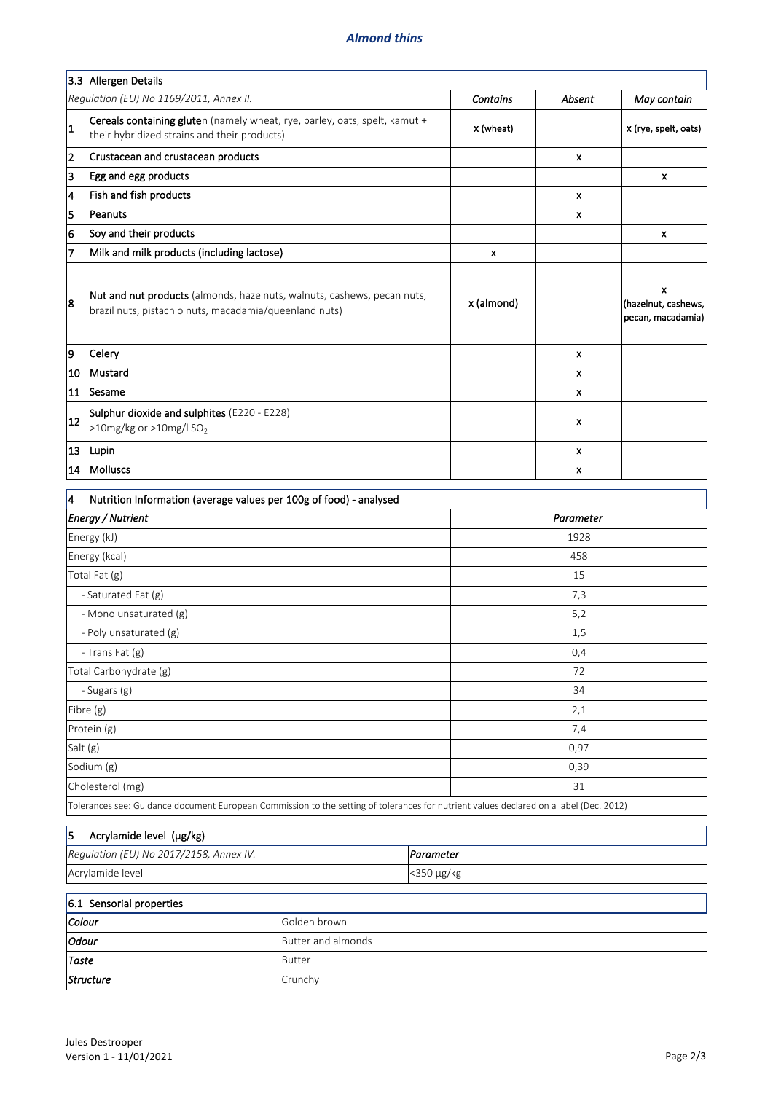## *Almond thins*

|                     | 3.3 Allergen Details                                                                                                              |                 |              |                                               |
|---------------------|-----------------------------------------------------------------------------------------------------------------------------------|-----------------|--------------|-----------------------------------------------|
|                     | Regulation (EU) No 1169/2011, Annex II.                                                                                           | <b>Contains</b> | Absent       | May contain                                   |
| $\mathbf{1}$        | Cereals containing gluten (namely wheat, rye, barley, oats, spelt, kamut +<br>their hybridized strains and their products)        | x (wheat)       |              | x (rye, spelt, oats)                          |
| 2                   | Crustacean and crustacean products                                                                                                |                 | x            |                                               |
| 3                   | Egg and egg products                                                                                                              |                 |              | x                                             |
| 4                   | Fish and fish products                                                                                                            |                 | X            |                                               |
| 5                   | Peanuts                                                                                                                           |                 | x            |                                               |
| 6                   | Soy and their products                                                                                                            |                 |              | x                                             |
| 7                   | Milk and milk products (including lactose)                                                                                        | x               |              |                                               |
| 8                   | Nut and nut products (almonds, hazelnuts, walnuts, cashews, pecan nuts,<br>brazil nuts, pistachio nuts, macadamia/queenland nuts) | x (almond)      |              | X<br>(hazelnut, cashews,<br>pecan, macadamia) |
| 9                   | Celery                                                                                                                            |                 | $\mathbf{x}$ |                                               |
| 10                  | Mustard                                                                                                                           |                 | x            |                                               |
|                     | 11 Sesame                                                                                                                         |                 | $\mathbf{x}$ |                                               |
| 12                  | Sulphur dioxide and sulphites (E220 - E228)<br>>10mg/kg or >10mg/l $SO_2$                                                         |                 | x            |                                               |
|                     | 13 Lupin                                                                                                                          |                 | X            |                                               |
| 14                  | Molluscs                                                                                                                          |                 | x            |                                               |
| 4                   | Nutrition Information (average values per 100g of food) - analysed                                                                |                 |              |                                               |
|                     | Energy / Nutrient                                                                                                                 |                 | Parameter    |                                               |
| Energy (kJ)<br>1928 |                                                                                                                                   |                 |              |                                               |
|                     | Energy (kcal)                                                                                                                     | 458             |              |                                               |
|                     | Total Fat (g)                                                                                                                     | 15              |              |                                               |
|                     | - Saturated Fat (g)                                                                                                               | 7,3             |              |                                               |
|                     | - Mono unsaturated (g)                                                                                                            | 5,2             |              |                                               |
|                     | - Poly unsaturated (g)                                                                                                            | 1,5             |              |                                               |
|                     |                                                                                                                                   |                 |              |                                               |

| $\frac{1}{2}$ or $\frac{1}{2}$ or $\frac{1}{2}$ or $\frac{1}{2}$ or $\frac{1}{2}$ or $\frac{1}{2}$                                     | ⊥,   |  |  |
|----------------------------------------------------------------------------------------------------------------------------------------|------|--|--|
| - Trans Fat (g)                                                                                                                        | 0,4  |  |  |
| Total Carbohydrate (g)                                                                                                                 | 72   |  |  |
| - Sugars (g)                                                                                                                           | 34   |  |  |
| Fibre (g)                                                                                                                              | 2,1  |  |  |
| Protein (g)                                                                                                                            | 7,4  |  |  |
| Salt (g)                                                                                                                               | 0,97 |  |  |
| Sodium (g)                                                                                                                             | 0,39 |  |  |
| Cholesterol (mg)                                                                                                                       | 31   |  |  |
| Tolerances see: Guidance document European Commission to the setting of tolerances for nutrient values declared on a label (Dec. 2012) |      |  |  |

| 15.<br>Acrylamide level (µg/kg)         |                      |
|-----------------------------------------|----------------------|
| Regulation (EU) No 2017/2158, Annex IV. | Parameter            |
| Acrylamide level                        | $ $ < 350 $\mu$ g/kg |

# 6.1 Sensorial properties

| Colour        | Golden brown       |
|---------------|--------------------|
| <i>Odour</i>  | Butter and almonds |
| $\vert$ Taste | Butter             |
| Structure     | Crunchy            |

ī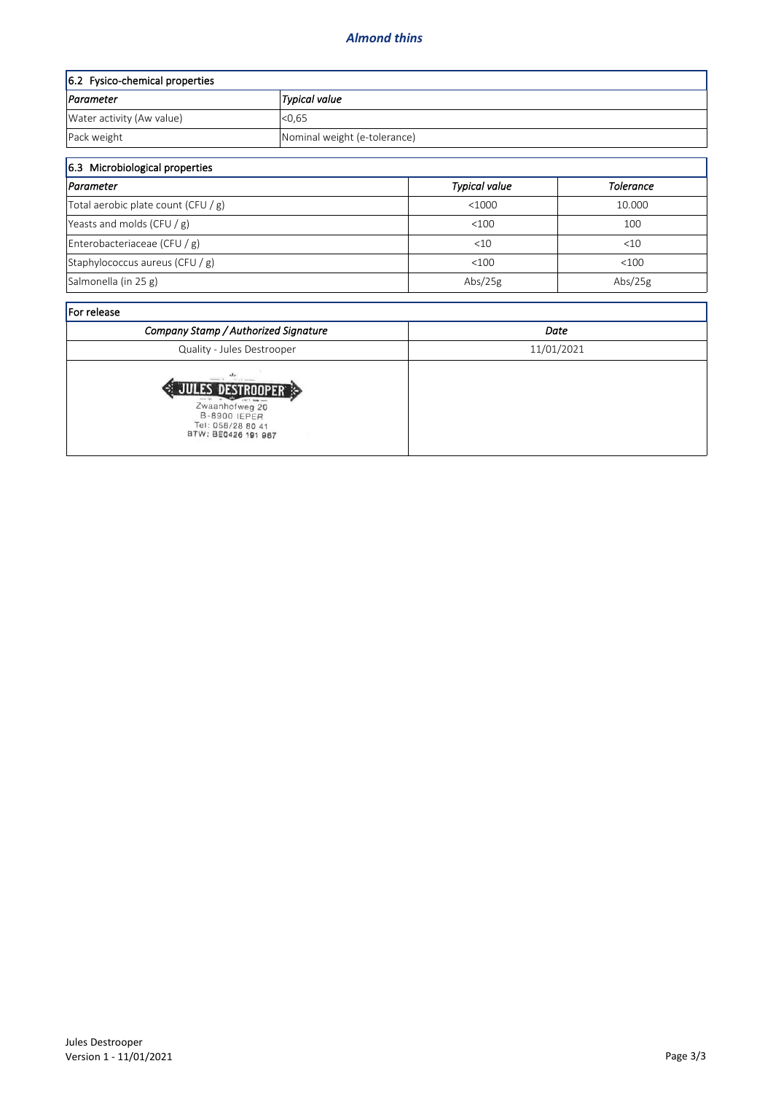| 6.2 Fysico-chemical properties |                              |  |
|--------------------------------|------------------------------|--|
| Parameter                      | Typical value                |  |
| Water activity (Aw value)      | < 0.65                       |  |
| Pack weight                    | Nominal weight (e-tolerance) |  |

| 6.3 Microbiological properties      |                      |                  |  |  |
|-------------------------------------|----------------------|------------------|--|--|
| Parameter                           | <b>Typical value</b> | <b>Tolerance</b> |  |  |
| Total aerobic plate count (CFU / g) | < 1000               | 10.000           |  |  |
| Yeasts and molds (CFU $/g$ )        | < 100                | 100              |  |  |
| Enterobacteriaceae (CFU / g)        | <10                  | < 10             |  |  |
| Staphylococcus aureus (CFU $/g$ )   | < 100                | < 100            |  |  |
| Salmonella (in 25 g)                | Abs/25g              | Abs/ $25g$       |  |  |

| <b>IFor release</b>                                                                                                           |            |  |  |  |
|-------------------------------------------------------------------------------------------------------------------------------|------------|--|--|--|
| Company Stamp / Authorized Signature                                                                                          | Date       |  |  |  |
| Quality - Jules Destrooper                                                                                                    | 11/01/2021 |  |  |  |
| The All Antonio<br><b>TES DESTROUPER</b><br>Zwaanhofweg 20<br><b>B-8900 IEPER</b><br>Tel: 058/28 80 41<br>BTW: BE0426 191 967 |            |  |  |  |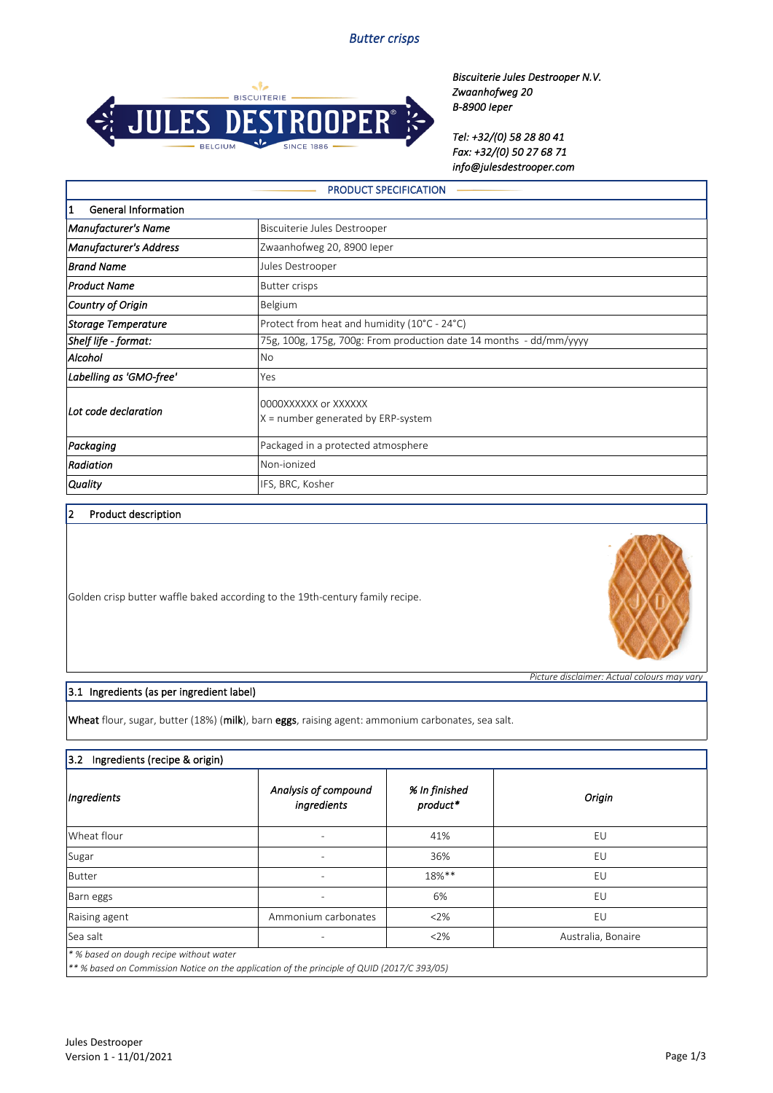

*Biscuiterie Jules Destrooper N.V. Zwaanhofweg 20 B-8900 Ieper*

*Tel: +32/(0) 58 28 80 41 Fax: +32/(0) 50 27 68 71 info@julesdestrooper.com*

| <b>PRODUCT SPECIFICATION</b>            |                                                                    |  |  |
|-----------------------------------------|--------------------------------------------------------------------|--|--|
| $\vert$ 1<br><b>General Information</b> |                                                                    |  |  |
| <b>Manufacturer's Name</b>              | Biscuiterie Jules Destrooper                                       |  |  |
| <b>Manufacturer's Address</b>           | Zwaanhofweg 20, 8900 leper                                         |  |  |
| <b>Brand Name</b>                       | Jules Destrooper                                                   |  |  |
| <b>Product Name</b>                     | <b>Butter crisps</b>                                               |  |  |
| Country of Origin                       | Belgium                                                            |  |  |
| <b>Storage Temperature</b>              | Protect from heat and humidity (10°C - 24°C)                       |  |  |
| Shelf life - format:                    | 75g, 100g, 175g, 700g: From production date 14 months - dd/mm/yyyy |  |  |
| Alcohol                                 | No                                                                 |  |  |
| Labelling as 'GMO-free'                 | Yes                                                                |  |  |
| Lot code declaration                    | 0000XXXXXX or XXXXXX<br>$X =$ number generated by ERP-system       |  |  |
| Packaging                               | Packaged in a protected atmosphere                                 |  |  |
| Radiation                               | Non-ionized                                                        |  |  |
| <b>Quality</b>                          | IFS, BRC, Kosher                                                   |  |  |

### 2 Product description

Golden crisp butter waffle baked according to the 19th-century family recipe.

### 3.1 Ingredients (as per ingredient label)

Wheat flour, sugar, butter (18%) (milk), barn eggs, raising agent: ammonium carbonates, sea salt.

# 3.2 Ingredients (recipe & origin)

| Ingredients   | Analysis of compound<br>ingredients | % In finished<br>product* | Origin             |
|---------------|-------------------------------------|---------------------------|--------------------|
| Wheat flour   |                                     | 41%                       | EU                 |
| Sugar         |                                     | 36%                       | EU                 |
| Butter        | $\overline{\phantom{a}}$            | 18%**                     | EU                 |
| Barn eggs     |                                     | 6%                        | EU                 |
| Raising agent | Ammonium carbonates                 | <2%                       | EU                 |
| Sea salt      |                                     | 2%                        | Australia, Bonaire |



*Picture disclaimer: Actual colours may vary*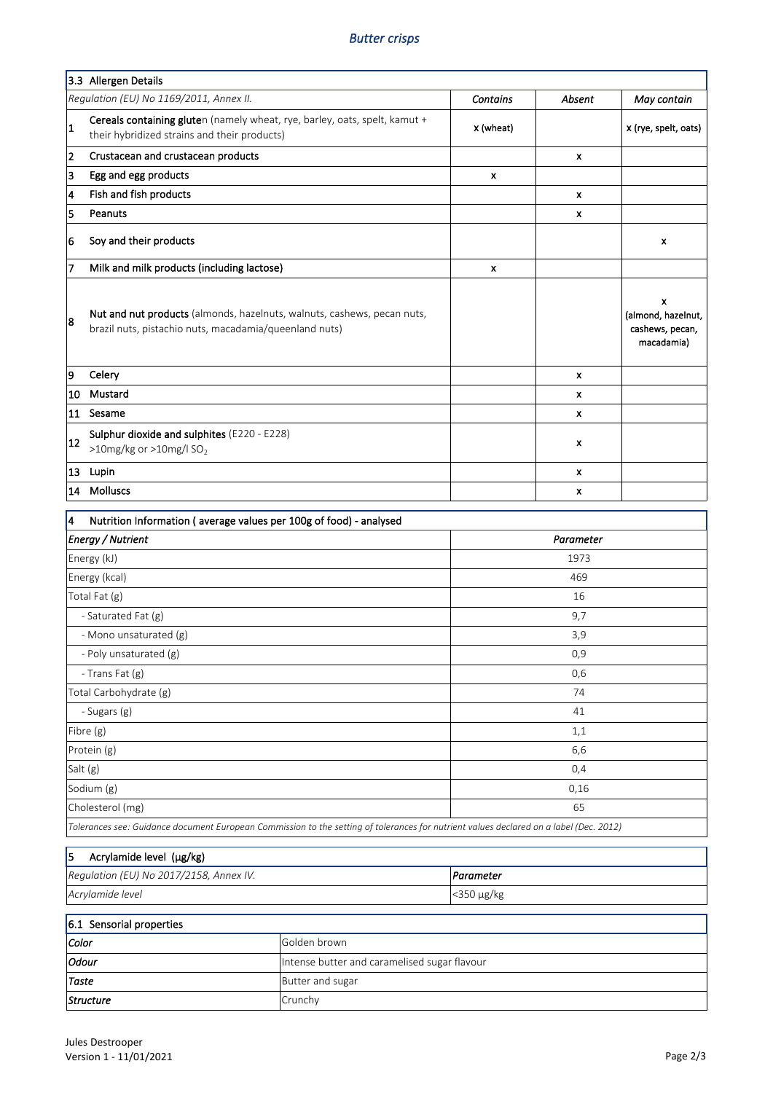## *Butter crisps*

|                | 3.3 Allergen Details                                                                                                              |                           |                           |                                                          |
|----------------|-----------------------------------------------------------------------------------------------------------------------------------|---------------------------|---------------------------|----------------------------------------------------------|
|                | Regulation (EU) No 1169/2011, Annex II.                                                                                           | <b>Contains</b>           | Absent                    | May contain                                              |
| 1              | Cereals containing gluten (namely wheat, rye, barley, oats, spelt, kamut +<br>their hybridized strains and their products)        | x (wheat)                 |                           | x (rye, spelt, oats)                                     |
| $\overline{2}$ | Crustacean and crustacean products                                                                                                |                           | X                         |                                                          |
| 3              | Egg and egg products                                                                                                              | $\boldsymbol{\mathsf{x}}$ |                           |                                                          |
| 4              | Fish and fish products                                                                                                            |                           | X                         |                                                          |
| 5              | Peanuts                                                                                                                           |                           | $\boldsymbol{\mathsf{x}}$ |                                                          |
| 6              | Soy and their products                                                                                                            |                           |                           | x                                                        |
| 7              | Milk and milk products (including lactose)                                                                                        | $\pmb{\times}$            |                           |                                                          |
| 8              | Nut and nut products (almonds, hazelnuts, walnuts, cashews, pecan nuts,<br>brazil nuts, pistachio nuts, macadamia/queenland nuts) |                           |                           | x<br>(almond, hazelnut,<br>cashews, pecan,<br>macadamia) |
| 19             | Celery                                                                                                                            |                           | $\mathbf{x}$              |                                                          |
| 10             | Mustard                                                                                                                           |                           | X                         |                                                          |
| 11             | Sesame                                                                                                                            |                           | $\boldsymbol{\mathsf{x}}$ |                                                          |
| 12             | Sulphur dioxide and sulphites (E220 - E228)<br>>10mg/kg or >10mg/l $SO2$                                                          |                           | $\boldsymbol{x}$          |                                                          |
| 13             | Lupin                                                                                                                             |                           | $\pmb{\times}$            |                                                          |
| 14             | <b>Molluscs</b>                                                                                                                   |                           | x                         |                                                          |
| 14             | Nutrition Information (average values per 100g of food) - analysed                                                                |                           |                           |                                                          |

| <b>TWEETERT MIRRIARY (CACTUSC VOIDES DEL 1005 01 1000)</b> analysed                                                                    |           |  |
|----------------------------------------------------------------------------------------------------------------------------------------|-----------|--|
| <b>Energy / Nutrient</b>                                                                                                               | Parameter |  |
| Energy (kJ)                                                                                                                            | 1973      |  |
| Energy (kcal)                                                                                                                          | 469       |  |
| Total Fat (g)                                                                                                                          | 16        |  |
| - Saturated Fat (g)                                                                                                                    | 9,7       |  |
| - Mono unsaturated (g)                                                                                                                 | 3,9       |  |
| - Poly unsaturated (g)                                                                                                                 | 0,9       |  |
| - Trans Fat (g)                                                                                                                        | 0,6       |  |
| Total Carbohydrate (g)                                                                                                                 | 74        |  |
| - Sugars (g)                                                                                                                           | 41        |  |
| Fibre (g)                                                                                                                              | 1,1       |  |
| Protein (g)                                                                                                                            | 6,6       |  |
| Salt (g)                                                                                                                               | 0,4       |  |
| Sodium (g)                                                                                                                             | 0,16      |  |
| Cholesterol (mg)                                                                                                                       | 65        |  |
| Tolerances see: Guidance document European Commission to the setting of tolerances for nutrient values declared on a label (Dec. 2012) |           |  |

# $5$  Acrylamide level ( $\mu$ g/kg)

| Regulation (EU) No 2017/2158, Annex IV. | Parameter  |
|-----------------------------------------|------------|
| Acrylamide level                        | <350 μg/kg |

| 6.1 Sensorial properties                              |                  |  |
|-------------------------------------------------------|------------------|--|
| Color<br>Golden brown                                 |                  |  |
| Odour<br>Intense butter and caramelised sugar flavour |                  |  |
| Taste                                                 | Butter and sugar |  |
| Structure                                             | Crunchy          |  |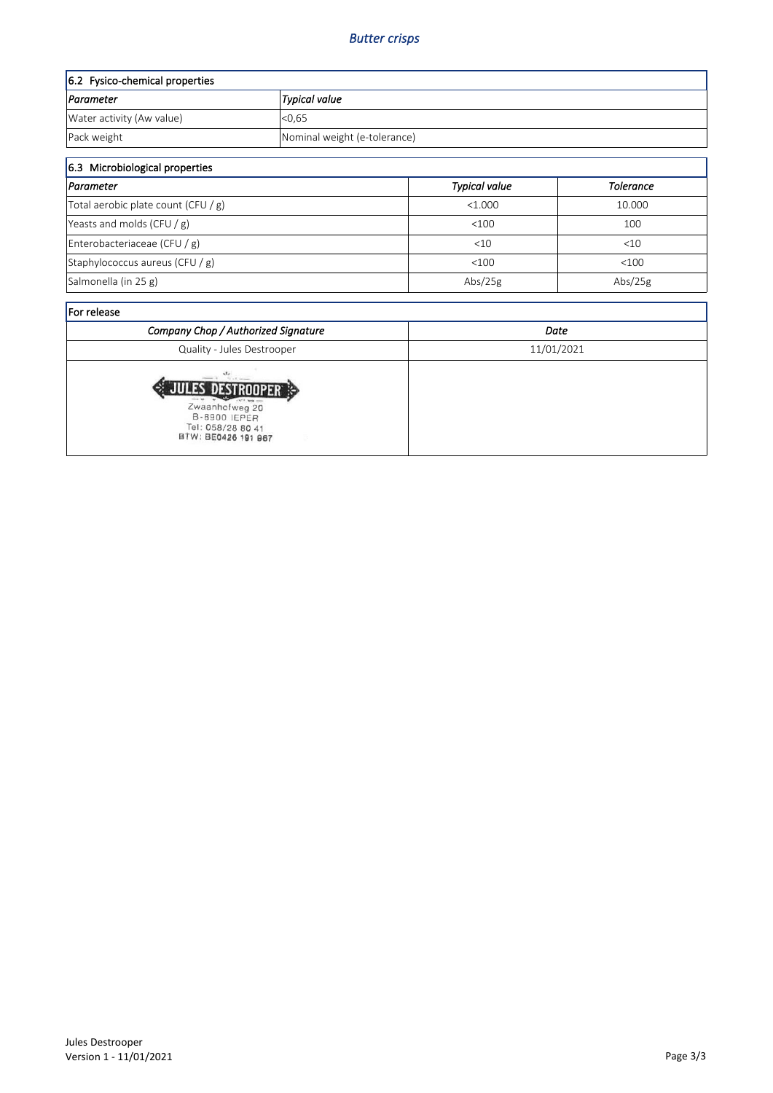| 6.2 Fysico-chemical properties |                              |  |
|--------------------------------|------------------------------|--|
| Parameter<br> Typical value    |                              |  |
| Water activity (Aw value)      | < 0.65                       |  |
| Pack weight                    | Nominal weight (e-tolerance) |  |

| 6.3 Microbiological properties                         |         |            |  |
|--------------------------------------------------------|---------|------------|--|
| <b>Typical value</b><br> Parameter<br><b>Tolerance</b> |         |            |  |
| Total aerobic plate count (CFU / g)                    | < 1.000 | 10.000     |  |
| Yeasts and molds (CFU $/g$ )                           | $<$ 100 | 100        |  |
| Enterobacteriaceae (CFU / g)                           | <10     | $<$ 10     |  |
| Staphylococcus aureus (CFU $/g$ )                      | < 100   | < 100      |  |
| Salmonella (in 25 g)                                   | Abs/25g | Abs/ $25g$ |  |

| <b>For release</b>                                                                                                      |            |  |
|-------------------------------------------------------------------------------------------------------------------------|------------|--|
| Company Chop / Authorized Signature                                                                                     | Date       |  |
| Quality - Jules Destrooper                                                                                              | 11/01/2021 |  |
| VULLED DESTROOPER<br>Zwaanhofweg 20<br><b>B-8900 IEPER</b><br>Tel: 058/28 80 41<br>BTW: BE0426 191 967<br>$\Rightarrow$ |            |  |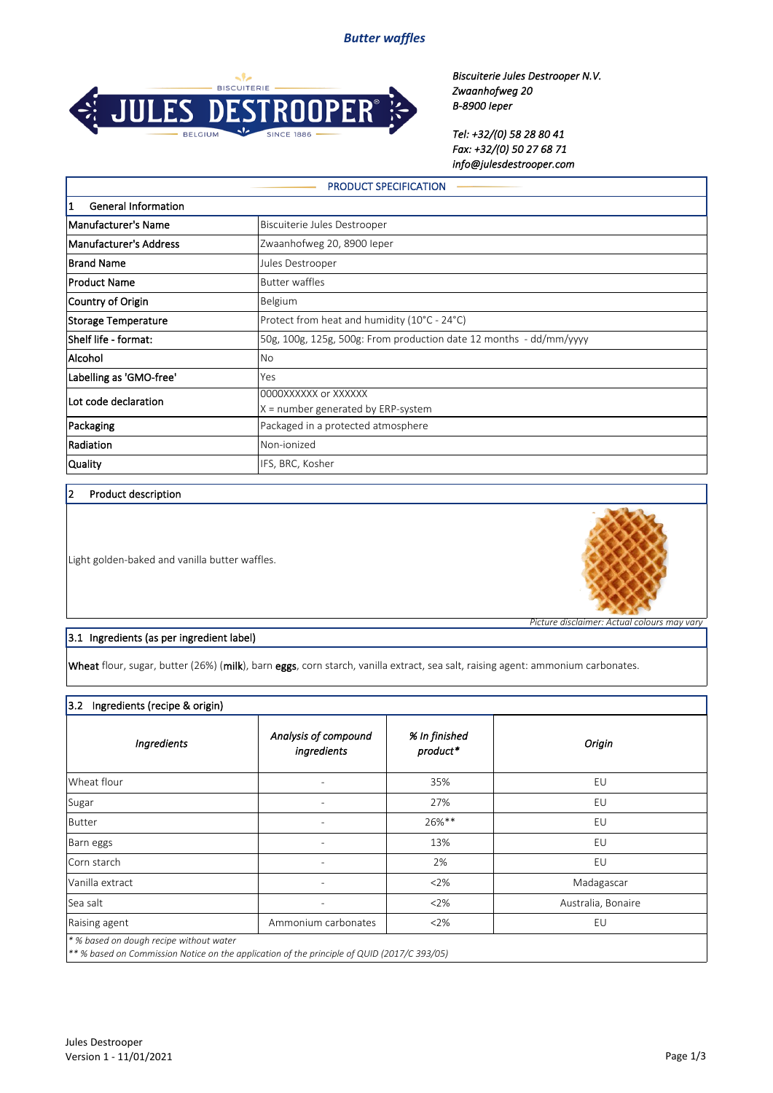*Butter waffles*



*Biscuiterie Jules Destrooper N.V. Zwaanhofweg 20 B-8900 Ieper*

*Tel: +32/(0) 58 28 80 41 Fax: +32/(0) 50 27 68 71 info@julesdestrooper.com*

| <b>PRODUCT SPECIFICATION</b>                                                         |                                                                    |  |  |
|--------------------------------------------------------------------------------------|--------------------------------------------------------------------|--|--|
| 1<br><b>General Information</b>                                                      |                                                                    |  |  |
| Manufacturer's Name                                                                  | Biscuiterie Jules Destrooper                                       |  |  |
| Manufacturer's Address                                                               | Zwaanhofweg 20, 8900 leper                                         |  |  |
| <b>Brand Name</b>                                                                    | Jules Destrooper                                                   |  |  |
| Product Name                                                                         | <b>Butter waffles</b>                                              |  |  |
| Country of Origin                                                                    | Belgium                                                            |  |  |
| Protect from heat and humidity (10°C - 24°C)<br>Storage Temperature                  |                                                                    |  |  |
| Shelf life - format:                                                                 | 50g, 100g, 125g, 500g: From production date 12 months - dd/mm/yyyy |  |  |
| Alcohol<br><b>No</b>                                                                 |                                                                    |  |  |
| Labelling as 'GMO-free'<br>Yes                                                       |                                                                    |  |  |
| 0000XXXXXX or XXXXXX<br>Lot code declaration<br>$X =$ number generated by ERP-system |                                                                    |  |  |
| Packaging                                                                            | Packaged in a protected atmosphere                                 |  |  |
| Radiation                                                                            | Non-ionized                                                        |  |  |
| Quality<br>IFS, BRC, Kosher                                                          |                                                                    |  |  |

### 2 Product description

Light golden-baked and vanilla butter waffles.



*Picture disclaimer: Actual colours may vary*

### 3.1 Ingredients (as per ingredient label)

 $|$ Wheat flour, sugar, butter (26%) (milk), barn eggs, corn starch, vanilla extract, sea salt, raising agent: ammonium carbonates.

| 3.2<br>Ingredients (recipe & origin) |                                         |                           |                    |
|--------------------------------------|-----------------------------------------|---------------------------|--------------------|
| Ingredients                          | Analysis of compound<br>ingredients     | % In finished<br>product* | Origin             |
| Wheat flour                          |                                         | 35%                       | EU                 |
| Sugar                                |                                         | 27%                       | EU                 |
| <b>Butter</b>                        |                                         | 26%**                     | EU                 |
| Barn eggs                            | $\overline{\phantom{0}}$                | 13%                       | EU                 |
| Corn starch                          | $\overline{\phantom{0}}$                | 2%                        | EU                 |
| Vanilla extract                      | $\overline{\phantom{a}}$                | 2%                        | Madagascar         |
| Sea salt                             | $\overline{\phantom{a}}$                | 2%                        | Australia, Bonaire |
| Raising agent                        | Ammonium carbonates                     | 2%                        | EU                 |
|                                      | * % based on dough recipe without water |                           |                    |

*\*\* % based on Commission Notice on the application of the principle of QUID (2017/C 393/05)*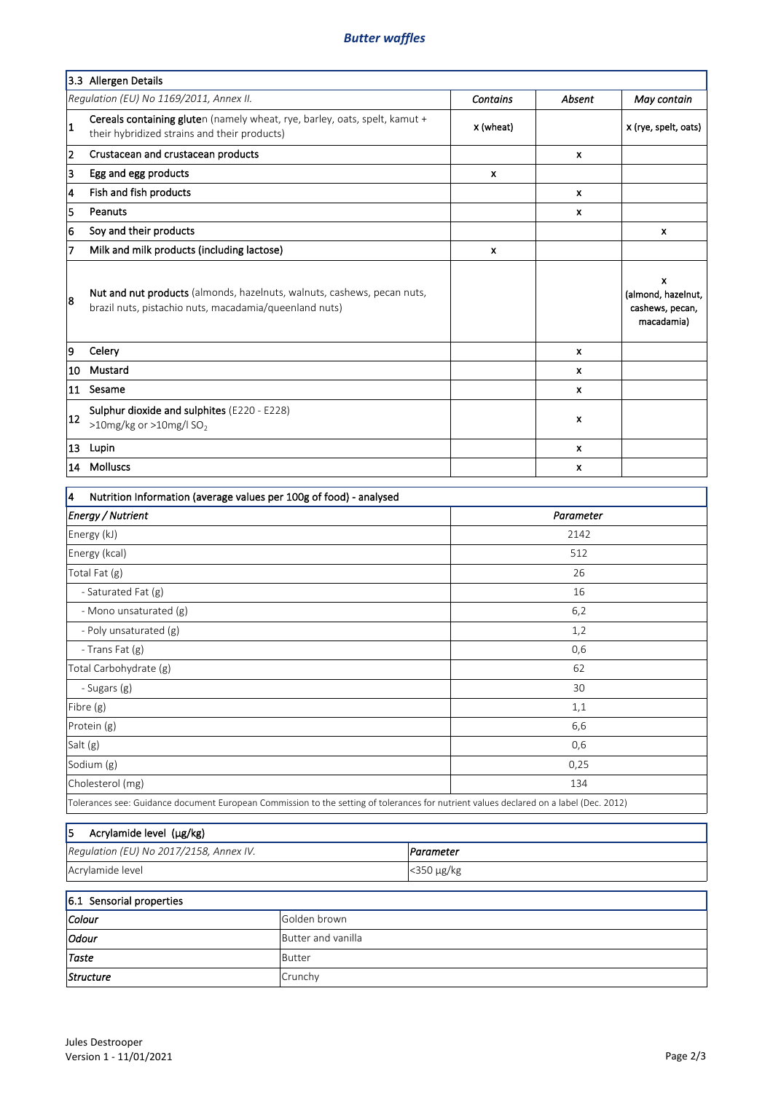## *Butter waffles*

|                                | 3.3 Allergen Details                                                                                                                   |                 |           |                                                          |
|--------------------------------|----------------------------------------------------------------------------------------------------------------------------------------|-----------------|-----------|----------------------------------------------------------|
|                                | Regulation (EU) No 1169/2011, Annex II.                                                                                                | <b>Contains</b> | Absent    | May contain                                              |
| $\vert$ 1                      | Cereals containing gluten (namely wheat, rye, barley, oats, spelt, kamut +<br>their hybridized strains and their products)             | x (wheat)       |           | x (rye, spelt, oats)                                     |
| 2                              | Crustacean and crustacean products                                                                                                     |                 | x         |                                                          |
| 3                              | Egg and egg products                                                                                                                   | x               |           |                                                          |
| 4                              | Fish and fish products                                                                                                                 |                 | x         |                                                          |
| 5                              | Peanuts                                                                                                                                |                 | x         |                                                          |
| 6                              | Soy and their products                                                                                                                 |                 |           | X                                                        |
| 7                              | Milk and milk products (including lactose)                                                                                             | x               |           |                                                          |
| 8                              | Nut and nut products (almonds, hazelnuts, walnuts, cashews, pecan nuts,<br>brazil nuts, pistachio nuts, macadamia/queenland nuts)      |                 |           | x<br>(almond, hazelnut,<br>cashews, pecan,<br>macadamia) |
| 9                              | Celery                                                                                                                                 |                 | x         |                                                          |
| 10                             | Mustard                                                                                                                                |                 | x         |                                                          |
| 11                             | Sesame                                                                                                                                 |                 | x         |                                                          |
| 12                             | Sulphur dioxide and sulphites (E220 - E228)<br>>10mg/kg or >10mg/l SO <sub>2</sub>                                                     |                 | x         |                                                          |
| 13                             | Lupin                                                                                                                                  |                 | x         |                                                          |
| 14                             | Molluscs                                                                                                                               |                 | x         |                                                          |
| 4                              | Nutrition Information (average values per 100g of food) - analysed                                                                     |                 |           |                                                          |
|                                | <b>Energy / Nutrient</b>                                                                                                               |                 | Parameter |                                                          |
|                                | Energy (kJ)                                                                                                                            |                 | 2142      |                                                          |
|                                | Energy (kcal)                                                                                                                          |                 | 512       |                                                          |
|                                | Total Fat (g)                                                                                                                          |                 | 26        |                                                          |
|                                | - Saturated Fat (g)                                                                                                                    |                 | 16        |                                                          |
| - Mono unsaturated (g)         |                                                                                                                                        |                 | 6,2       |                                                          |
|                                | - Poly unsaturated (g)                                                                                                                 |                 | 1,2       |                                                          |
|                                | - Trans Fat (g)                                                                                                                        |                 | 0,6       |                                                          |
|                                | Total Carbohydrate (g)                                                                                                                 |                 | 62        |                                                          |
|                                | - Sugars (g)                                                                                                                           |                 | 30        |                                                          |
|                                | Fibre (g)                                                                                                                              |                 | 1,1       |                                                          |
|                                | Protein (g)                                                                                                                            |                 | 6,6       |                                                          |
| Salt (g)                       |                                                                                                                                        |                 | 0,6       |                                                          |
|                                | Sodium (g)                                                                                                                             |                 | 0,25      |                                                          |
|                                | Cholesterol (mg)                                                                                                                       |                 | 134       |                                                          |
|                                | Tolerances see: Guidance document European Commission to the setting of tolerances for nutrient values declared on a label (Dec. 2012) |                 |           |                                                          |
| 5                              | Acrylamide level (µg/kg)                                                                                                               |                 |           |                                                          |
|                                | Regulation (EU) No 2017/2158, Annex IV.                                                                                                | Parameter       |           |                                                          |
| Acrylamide level<br><350 μg/kg |                                                                                                                                        |                 |           |                                                          |
|                                |                                                                                                                                        |                 |           |                                                          |
| Colour                         | 6.1 Sensorial properties<br>Golden brown                                                                                               |                 |           |                                                          |
|                                |                                                                                                                                        |                 |           |                                                          |

*Taste Structure*

*Odour*

Butter Crunchy

Butter and vanilla